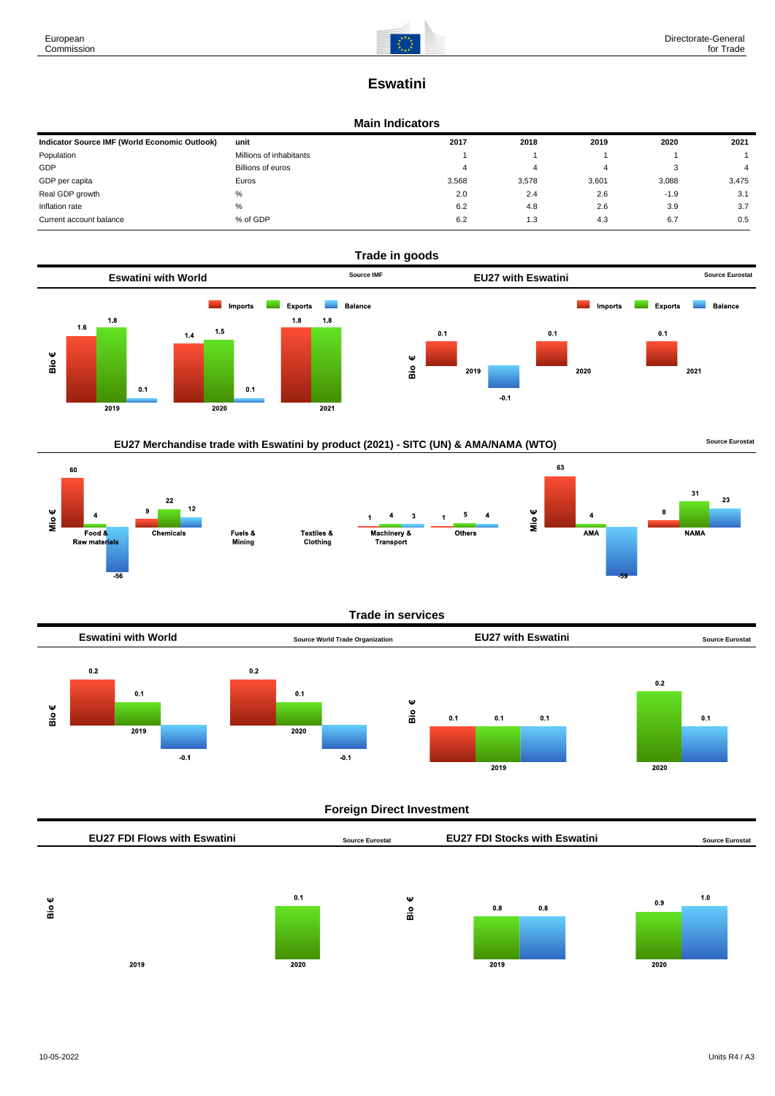

# **Eswatini**

#### **Main Indicators**

| Indicator Source IMF (World Economic Outlook) | unit                    | 2017  | 2018  | 2019  | 2020   | 2021  |
|-----------------------------------------------|-------------------------|-------|-------|-------|--------|-------|
| Population                                    | Millions of inhabitants |       |       |       |        |       |
| GDP                                           | Billions of euros       | 4     | 4     | 4     |        |       |
| GDP per capita                                | Euros                   | 3,568 | 3.578 | 3,601 | 3,088  | 3,475 |
| Real GDP growth                               | %                       | 2.0   | 2.4   | 2.6   | $-1.9$ | 3.1   |
| Inflation rate                                | %                       | 6.2   | 4.8   | 2.6   | 3.9    | 3.7   |
| Current account balance                       | % of GDP                | 6.2   | 1.3   | 4.3   | 6.7    | 0.5   |



### EU27 Merchandise trade with Eswatini by product (2021) - SITC (UN) & AMA/NAMA (WTO) **Source Eurostat**



#### **Trade in services**



### **Foreign Direct Investment**

|                                     |      | -                      |                     |      |     |     |                                      |                        |  |
|-------------------------------------|------|------------------------|---------------------|------|-----|-----|--------------------------------------|------------------------|--|
| <b>EU27 FDI Flows with Eswatini</b> |      | <b>Source Eurostat</b> |                     |      |     |     |                                      | <b>Source Eurostat</b> |  |
|                                     |      |                        |                     |      |     |     |                                      |                        |  |
|                                     | 0.1  |                        |                     |      |     |     | 0.9                                  | 1.0                    |  |
|                                     |      |                        |                     |      |     |     |                                      |                        |  |
| 2019                                | 2020 |                        |                     | 2019 |     |     | 2020                                 |                        |  |
|                                     |      |                        | Ψ<br>$\frac{9}{16}$ |      | 0.8 | 0.8 | <b>EU27 FDI Stocks with Eswatini</b> |                        |  |